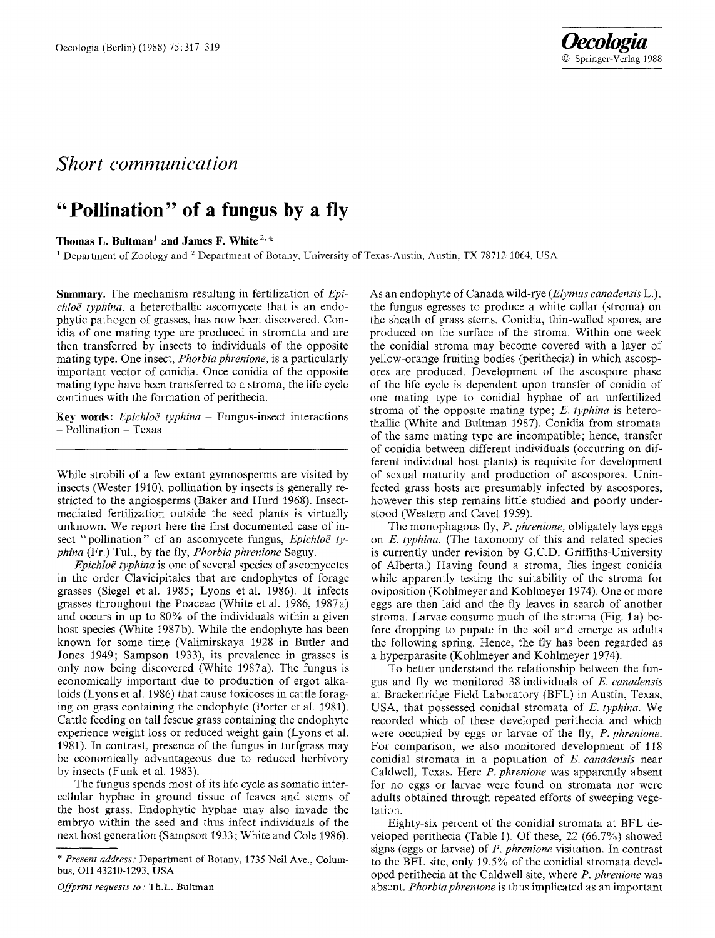

## *Short communication*

## **"Pollination" of a fungus by a fly**

## **Thomas L. Bultman<sup>1</sup> and James F. White**  $2, *$

<sup>1</sup> Department of Zoology and  $^2$  Department of Botany, University of Texas-Austin, Austin, TX 78712-1064, USA

Summary. The mechanism resulting in fertilization of *Epichloë typhina*, a heterothallic ascomycete that is an endophytic pathogen of grasses, has now been discovered. Conidia of one mating type are produced in stromata and are then transferred by insects to individuals of the opposite mating type. One insect, *Phorbia phrenione,* is a particularly important vector of conidia. Once conidia of the opposite mating type have been transferred to a stroma, the life cycle continues with the formation of perithecia.

**Key words:** *Epichloë typhina* – Fungus-insect interactions - Pollination - Texas

While strobili of a few extant gymnosperms are visited by insects (Wester 1910), pollination by insects is generally restricted to the angiosperms (Baker and Hurd 1968). Insectmediated fertilization outside the seed plants is virtually unknown. We report here the first documented case of insect "pollination" of an ascomycete fungus, *Epichloë typhina* (Fr.) Tul., by the fly, *Phorbia phrenione* Seguy.

*Epichloë typhina* is one of several species of ascomycetes in the order Clavicipitales that are endophytes of forage grasses (Siegel etal. 1985; Lyons etal. 1986). It infects grasses throughout the Poaceae (White et al. 1986, 1987a) and occurs in up to 80% of the individuals within a given host species (White 1987b). While the endophyte has been known for some time (Valimirskaya 1928 in Butler **and**  Jones 1949; Sampson 1933), its prevalence in grasses is only now being discovered (White 1987a). The fungus is economically important due to production of ergot alkaloids (Lyons et al. 1986) that cause toxicoses in cattle foraging on grass containing the endophyte (Porter et al. 1981). Cattle feeding on tall fescue grass containing the endophyte experience weight loss or reduced weight gain (Lyons et al. 1981). In contrast, presence of the fungus in turfgrass may be economically advantageous due to reduced herbivory by insects (Funk et al. 1983).

The fungus spends most of its life cycle as somatic intercellular hyphae in ground tissue of leaves and stems of the host grass. Endophytic hyphae may also invade the embryo within the seed and thus infect individuals of the next host generation (Sampson 1933; White and Cole 1986).

As an endophyte of Canada wild-rye *(Elymus canadensis* L.), the fungus egresses to produce a white collar (stroma) on the sheath of grass stems. Conidia, thin-walled spores, are produced on the surface of the stroma. Within one week the conidial stroma may become covered with a layer of yellow-orange fruiting bodies (perithecia) in which ascospores are produced. Development of the ascospore phase of the life cycle is dependent upon transfer of conidia of one mating type to conidial hyphae of an unfertilized stroma of the opposite mating type; *E. typhina* is heterothallic (White and Bultman 1987). Conidia from stromata of the same mating type are incompatible; hence, transfer of conidia between different individuals (occurring on different individual host plants) is requisite for development of sexual maturity and production of ascospores. Uninfected grass hosts are presumably infected by ascospores, however this step remains little studied and poorly understood (Western and Cavet 1959).

The monophagous fly, *P. phrenione,* obligately lays eggs on *E. typhina.* (The taxonomy of this and related species is currently under revision by G.C.D. Griffiths-University of Alberta.) Having found a stroma, flies ingest conidia while apparently testing the suitability of the stroma for oviposition (Kohlmeyer and Kohlmeyer I974). One or more eggs are then laid and the fly leaves in search of another stroma. Larvae consume much of the stroma (Fig. 1 a) before dropping to pupate in the soil and emerge as adults the following spring. Hence, the fly has been regarded as a hyperparasite (Kohlmeyer and Kohlmeyer 1974).

To better understand the relationship between the fungus and fly we monitored 38 individuals of *E. canadensis*  at Brackenridge Field Laboratory (BFL) in Austin, Texas, USA, that possessed conidial stromata of *E. typhina.* We recorded which of these developed perithecia and which were occupied by eggs or larvae of the fly, *P. phrenione.*  For comparison, we also monitored development of 118 conidial stromata in a population of *E. canadensis* near Caldwell, Texas. Here *P. phrenione* was apparently absent for no eggs or larvae were found on stromata nor were adults obtained through repeated efforts of sweeping vegetation.

Eighty-six percent of the conidial stromata at BFL developed perithecia (Table 1). Of these,  $22(66.7%)$  showed signs (eggs or larvae) of *P. phrenione* visitation. In contrast to the BFL site, only 19.5% of the conidial stromata developed perithecia at the Caldwell site, where *P. phrenione* was absent. *Phorbia phrenione* is thus implicated as an important

*<sup>\*</sup> Present address:* Department of Botany, 1735 Nell Ave., Columbus, OH 43210-1293, USA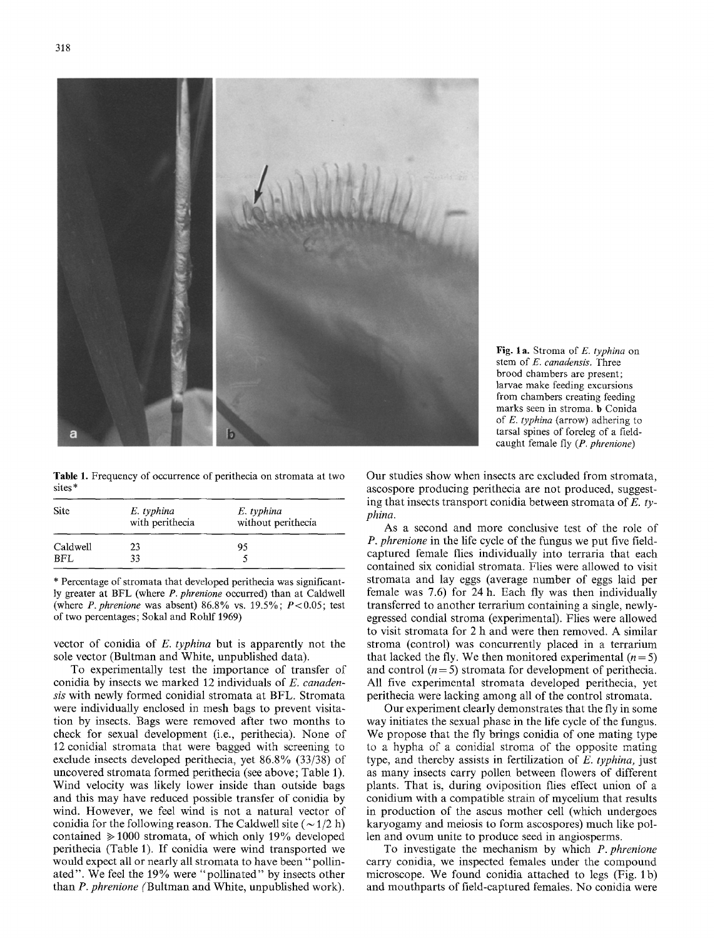

Table 1. Frequency of occurrence of perithecia on stromata at two sites \*

| Site     | E. typhina<br>with perithecia | E. typhina<br>without perithecia |
|----------|-------------------------------|----------------------------------|
| Caldwell | 23                            | 95                               |
| BFL      | 33                            |                                  |

\* Percentage of stromata that developed perithecia was significantly greater at BFL (where *P. phrenione* occurred) than at Caldwell (where *P. phrenione* was absent) 86.8% vs. 19.5% ; P<0.05; test of two percentages; Sokal and Rohlf 1969)

vector of conidia of *E. typhina* but is apparently not the sole vector (Bultman and White, unpublished data).

To experimentally test the importance of transfer of conidia by insects we marked 12 individuals of *E. canadensis* with newly formed conidial stromata at BFL. Stromata were individually enclosed in mesh bags to prevent visitation by insects. Bags were removed after two months to check for sexual development (i.e., perithecia). None of 12 conidial stromata that were bagged with screening to exclude insects developed perithecia, yet 86.8% (33/38) of uncovered stromata formed perithecia (see above; Table 1). Wind velocity was likely lower inside than outside bags and this may have reduced possible transfer of conidia by wind. However, we feel wind is not a natural vector of conidia for the following reason. The Caldwell site ( $\sim$  1/2 h) contained  $\geq 1000$  stromata, of which only 19% developed perithecia (Table 1). If conidia were wind transported we would expect all or nearly all stromata to have been" pollinated". We feel the 19% were "pollinated" by insects other than *P. phrenione* (Bultman and White, unpublished work).

Fig. 1 a. Stroma of *E. typhina* on stem of *E. canadensis.* Three brood chambers are present; larvae make feeding excursions from chambers creating feeding marks seen in stroma, b Conida of *E. typhina* (arrow) adhering to tarsal spines of foreleg of a fieldcaught female fly *(P. phrenione)* 

Our studies show when insects are excluded from stromata, ascospore producing perithecia are not produced, suggesting that insects transport conidia between stromata of E. ty*phina.* 

As a second and more conclusive test of the role of *P. phrenione* in the life cycle of the fungus we put five fieldcaptured female flies individually into terraria that each contained six conidial stromata. Flies were allowed to visit stromata and lay eggs (average number of eggs laid per female was 7.6) for 24 h. Each fly was then individually transferred to another terrarium containing a single, newlyegressed condial stroma (experimental). Flies were allowed to visit stromata for 2 h and were then removed. A similar stroma (control) was concurrently placed in a terrarium that lacked the fly. We then monitored experimental  $(n=5)$ and control  $(n=5)$  stromata for development of perithecia. All five experimental stromata developed perithecia, yet perithecia were lacking among all of the control stromata.

Our experiment clearly demonstrates that the fly in some way initiates the sexual phase in the life cycle of the fungus. We propose that the fly brings conidia of one mating type to a hypha of a conidiai stroma of the opposite mating type, and thereby assists in fertilization of *E. typhina,* just as many insects carry pollen between flowers of different plants. That is, during oviposition flies effect union of a conidium with a compatible strain of mycelium that results in production of the ascus mother cell (which undergoes karyogamy and meiosis to form ascospores) much like pollen and ovum unite to produce seed in angiosperms.

To investigate the mechanism by which *P. phrenione*  carry conidia, we inspected females under the compound microscope. We found conidia attached to legs (Fig. 1 b) and mouthparts of field-captured females. No conidia were